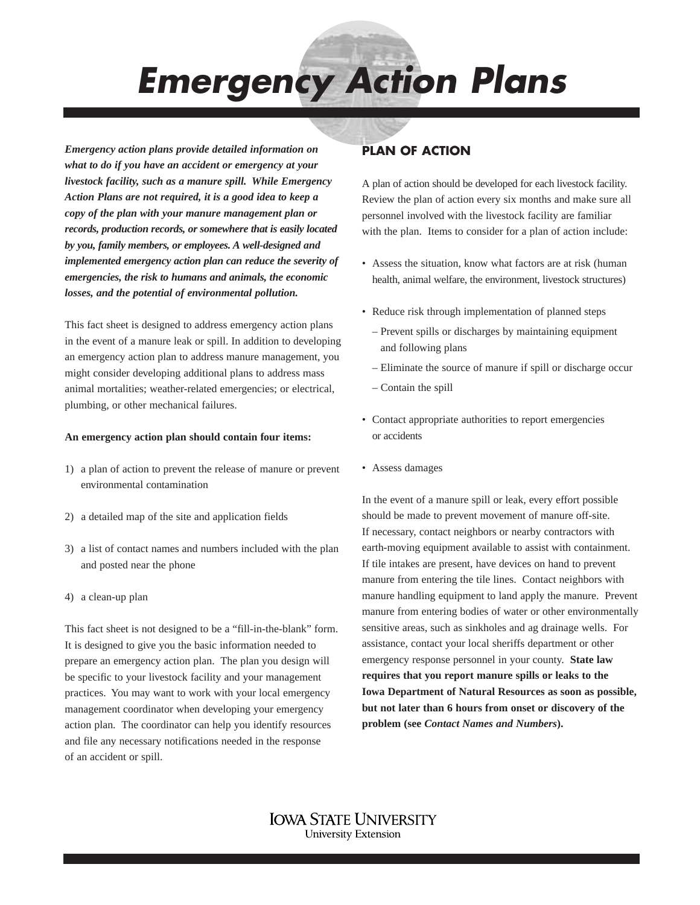*Emergency Action Plans*

*Emergency action plans provide detailed information on what to do if you have an accident or emergency at your livestock facility, such as a manure spill. While Emergency Action Plans are not required, it is a good idea to keep a copy of the plan with your manure management plan or records, production records, or somewhere that is easily located by you, family members, or employees. A well-designed and implemented emergency action plan can reduce the severity of emergencies, the risk to humans and animals, the economic losses, and the potential of environmental pollution.*

This fact sheet is designed to address emergency action plans in the event of a manure leak or spill. In addition to developing an emergency action plan to address manure management, you might consider developing additional plans to address mass animal mortalities; weather-related emergencies; or electrical, plumbing, or other mechanical failures.

#### **An emergency action plan should contain four items:**

- 1) a plan of action to prevent the release of manure or prevent environmental contamination
- 2) a detailed map of the site and application fields
- 3) a list of contact names and numbers included with the plan and posted near the phone
- 4) a clean-up plan

This fact sheet is not designed to be a "fill-in-the-blank" form. It is designed to give you the basic information needed to prepare an emergency action plan. The plan you design will be specific to your livestock facility and your management practices. You may want to work with your local emergency management coordinator when developing your emergency action plan. The coordinator can help you identify resources and file any necessary notifications needed in the response of an accident or spill.

# **PLAN OF ACTION**

A plan of action should be developed for each livestock facility. Review the plan of action every six months and make sure all personnel involved with the livestock facility are familiar with the plan. Items to consider for a plan of action include:

- Assess the situation, know what factors are at risk (human health, animal welfare, the environment, livestock structures)
- Reduce risk through implementation of planned steps
	- Prevent spills or discharges by maintaining equipment and following plans
	- Eliminate the source of manure if spill or discharge occur
	- Contain the spill
- Contact appropriate authorities to report emergencies or accidents
- Assess damages

In the event of a manure spill or leak, every effort possible should be made to prevent movement of manure off-site. If necessary, contact neighbors or nearby contractors with earth-moving equipment available to assist with containment. If tile intakes are present, have devices on hand to prevent manure from entering the tile lines. Contact neighbors with manure handling equipment to land apply the manure. Prevent manure from entering bodies of water or other environmentally sensitive areas, such as sinkholes and ag drainage wells. For assistance, contact your local sheriffs department or other emergency response personnel in your county. **State law requires that you report manure spills or leaks to the Iowa Department of Natural Resources as soon as possible, but not later than 6 hours from onset or discovery of the problem (see** *Contact Names and Numbers***).** 

IOWA STATE UNIVERSITY **University Extension**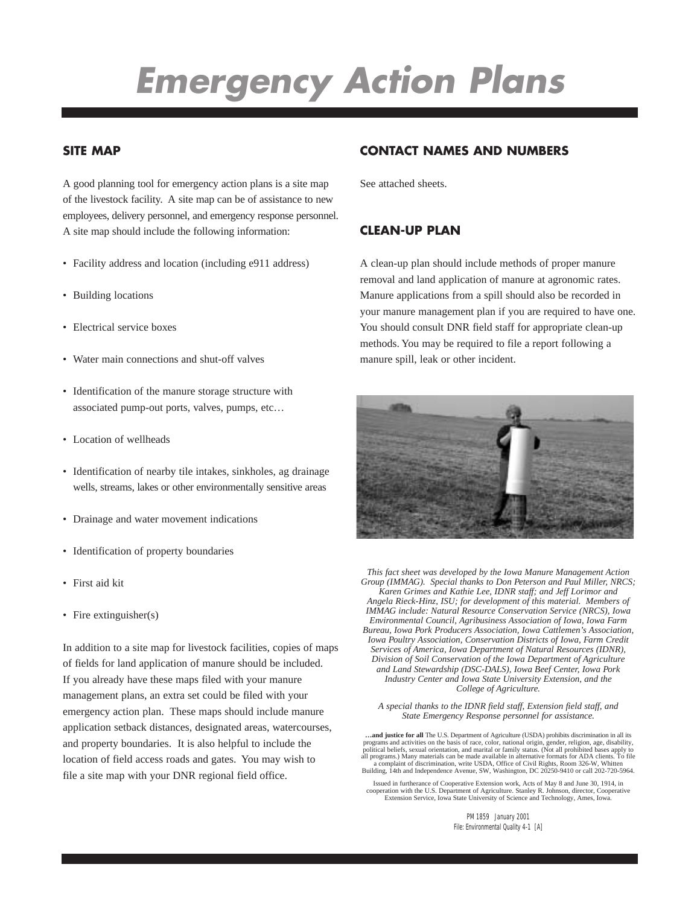# *Emergency Action Plans*

### **SITE MAP**

A good planning tool for emergency action plans is a site map of the livestock facility. A site map can be of assistance to new employees, delivery personnel, and emergency response personnel. A site map should include the following information:

- Facility address and location (including e911 address)
- Building locations
- Electrical service boxes
- Water main connections and shut-off valves
- Identification of the manure storage structure with associated pump-out ports, valves, pumps, etc…
- Location of wellheads
- Identification of nearby tile intakes, sinkholes, ag drainage wells, streams, lakes or other environmentally sensitive areas
- Drainage and water movement indications
- Identification of property boundaries
- First aid kit
- Fire extinguisher(s)

In addition to a site map for livestock facilities, copies of maps of fields for land application of manure should be included. If you already have these maps filed with your manure management plans, an extra set could be filed with your emergency action plan. These maps should include manure application setback distances, designated areas, watercourses, and property boundaries. It is also helpful to include the location of field access roads and gates. You may wish to file a site map with your DNR regional field office.

## **CONTACT NAMES AND NUMBERS**

See attached sheets.

#### **CLEAN-UP PLAN**

A clean-up plan should include methods of proper manure removal and land application of manure at agronomic rates. Manure applications from a spill should also be recorded in your manure management plan if you are required to have one. You should consult DNR field staff for appropriate clean-up methods. You may be required to file a report following a manure spill, leak or other incident.



*This fact sheet was developed by the Iowa Manure Management Action Group (IMMAG). Special thanks to Don Peterson and Paul Miller, NRCS; Karen Grimes and Kathie Lee, IDNR staff; and Jeff Lorimor and Angela Rieck-Hinz, ISU; for development of this material. Members of IMMAG include: Natural Resource Conservation Service (NRCS), Iowa Environmental Council, Agribusiness Association of Iowa, Iowa Farm Bureau, Iowa Pork Producers Association, Iowa Cattlemen's Association, Iowa Poultry Association, Conservation Districts of Iowa, Farm Credit Services of America, Iowa Department of Natural Resources (IDNR), Division of Soil Conservation of the Iowa Department of Agriculture and Land Stewardship (DSC-DALS), Iowa Beef Center, Iowa Pork Industry Center and Iowa State University Extension, and the College of Agriculture.*

*A special thanks to the IDNR field staff, Extension field staff, and State Emergency Response personnel for assistance.*

...and justice for all The U.S. Department of Agriculture (USDA) prohibits discrimination in all its programs and activities on the basis of race, color, national original, ange, disability, pendents political beliefs, sex all programs.) Many materials can be made available in alternative formats for ADA clients. To file<br>a complaint of discrimination, write USDA, Office of Civil Rights, Room 326-W, Whitten<br>Building, 14th and Independence Ave

Issued in furtherance of Cooperative Extension work, Acts of May 8 and June 30, 1914, in cooperation with the U.S. Department of Agriculture. Stanley R. Johnson, director, Cooperative Extension Service, Iowa State University of Science and Technology, Ames, Iowa.

> PM 1859 January 2001 File: Environmental Quality 4-1 [A]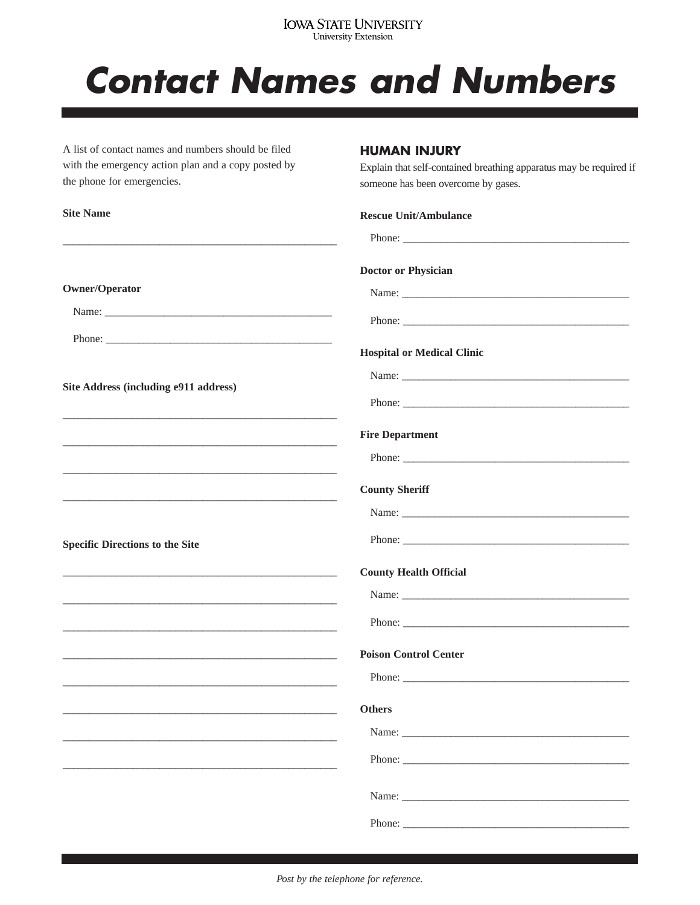# **IOWA STATE UNIVERSITY**<br>University Extension

# **Contact Names and Numbers**

A list of contact names and numbers should be filed with the emergency action plan and a copy posted by the phone for emergencies.

### **HUMAN INJURY**

Explain that self-contained breathing apparatus may be required if someone has been overcome by gases.

| <b>Site Name</b>                                                                                                                                                 | <b>Rescue Unit/Ambulance</b>      |
|------------------------------------------------------------------------------------------------------------------------------------------------------------------|-----------------------------------|
|                                                                                                                                                                  |                                   |
|                                                                                                                                                                  | <b>Doctor or Physician</b>        |
| <b>Owner/Operator</b>                                                                                                                                            |                                   |
|                                                                                                                                                                  | Phone:                            |
| Phone:                                                                                                                                                           |                                   |
|                                                                                                                                                                  | <b>Hospital or Medical Clinic</b> |
| Site Address (including e911 address)<br><u> 1989 - Johann John Stone, mensk politik fotograf (d. 1989)</u>                                                      |                                   |
|                                                                                                                                                                  | Phone:                            |
|                                                                                                                                                                  | <b>Fire Department</b>            |
|                                                                                                                                                                  |                                   |
|                                                                                                                                                                  | <b>County Sheriff</b>             |
|                                                                                                                                                                  |                                   |
| <b>Specific Directions to the Site</b><br><u> 1989 - Johann John Stoff, deutscher Stoffen und der Stoffen und der Stoffen und der Stoffen und der Stoffen un</u> |                                   |
|                                                                                                                                                                  | <b>County Health Official</b>     |
|                                                                                                                                                                  |                                   |
|                                                                                                                                                                  |                                   |
|                                                                                                                                                                  | <b>Poison Control Center</b>      |
|                                                                                                                                                                  |                                   |
|                                                                                                                                                                  | Others                            |
|                                                                                                                                                                  |                                   |
|                                                                                                                                                                  |                                   |
|                                                                                                                                                                  |                                   |
|                                                                                                                                                                  | Phone:                            |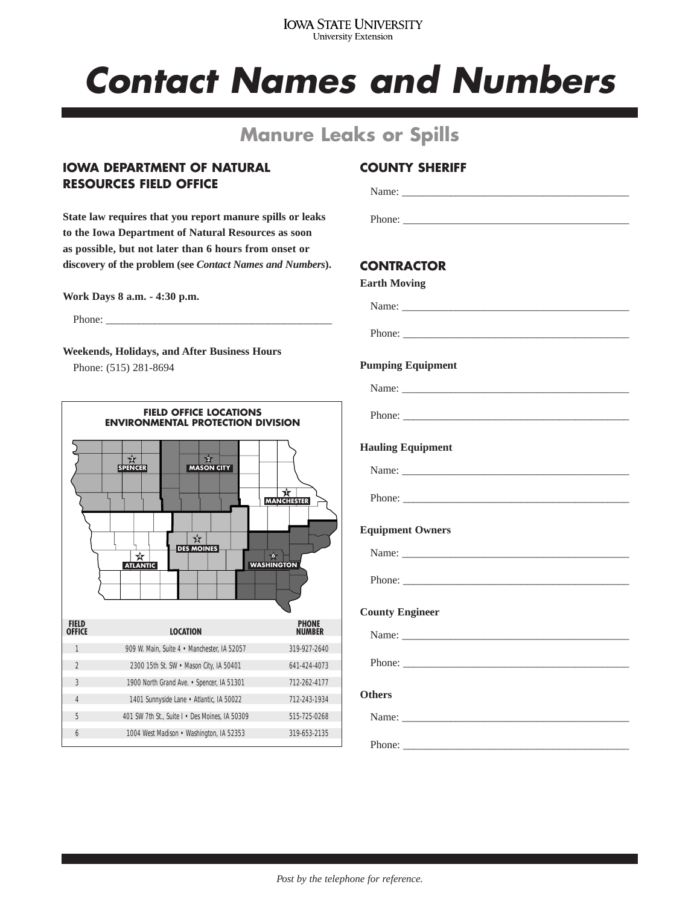#### **IOWA STATE UNIVERSITY** University Extension

# *Contact Names and Numbers*

# **Manure Leaks or Spills**

### **IOWA DEPARTMENT OF NATURAL RESOURCES FIELD OFFICE**

**State law requires that you report manure spills or leaks to the Iowa Department of Natural Resources as soon as possible, but not later than 6 hours from onset or discovery of the problem (see** *Contact Names and Numbers***).**

**Work Days 8 a.m. - 4:30 p.m.**

Phone:

**Weekends, Holidays, and After Business Hours** Phone: (515) 281-8694



## **COUNTY SHERIFF**

Name:

Phone:

## **CONTRACTOR**

| <b>Earth Moving</b>                                                                                                                                                                                                            |
|--------------------------------------------------------------------------------------------------------------------------------------------------------------------------------------------------------------------------------|
|                                                                                                                                                                                                                                |
|                                                                                                                                                                                                                                |
| <b>Pumping Equipment</b>                                                                                                                                                                                                       |
|                                                                                                                                                                                                                                |
|                                                                                                                                                                                                                                |
| <b>Hauling Equipment</b>                                                                                                                                                                                                       |
| Name:                                                                                                                                                                                                                          |
| Phone:                                                                                                                                                                                                                         |
| <b>Equipment Owners</b>                                                                                                                                                                                                        |
|                                                                                                                                                                                                                                |
|                                                                                                                                                                                                                                |
| <b>County Engineer</b>                                                                                                                                                                                                         |
| Name: Name and the state of the state of the state of the state of the state of the state of the state of the state of the state of the state of the state of the state of the state of the state of the state of the state of |
|                                                                                                                                                                                                                                |
| <b>Others</b>                                                                                                                                                                                                                  |
|                                                                                                                                                                                                                                |

Phone: